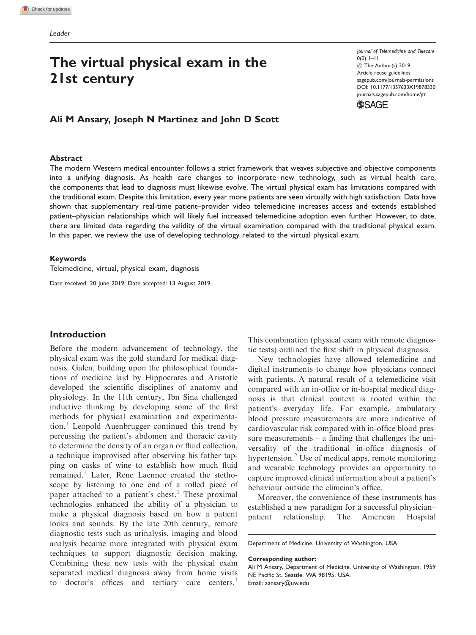# The virtual physical exam in the 21st century

Journal of Telemedicine and Telecare  $0(0)$  1–11 C The Author(s) 2019 Article reuse guidelines: [sagepub.com/journals-permissions](http://uk.sagepub.com/en-gb/journals-permissions) [DOI: 10.1177/1357633X19878330](http://dx.doi.org/10.1177/1357633X19878330) <journals.sagepub.com/home/jtt>



# Ali M Ansary, Joseph N Martinez and John D Scott

#### Abstract

The modern Western medical encounter follows a strict framework that weaves subjective and objective components into a unifying diagnosis. As health care changes to incorporate new technology, such as virtual health care, the components that lead to diagnosis must likewise evolve. The virtual physical exam has limitations compared with the traditional exam. Despite this limitation, every year more patients are seen virtually with high satisfaction. Data have shown that supplementary real-time patient–provider video telemedicine increases access and extends established patient–physician relationships which will likely fuel increased telemedicine adoption even further. However, to date, there are limited data regarding the validity of the virtual examination compared with the traditional physical exam. In this paper, we review the use of developing technology related to the virtual physical exam.

#### Keywords

Telemedicine, virtual, physical exam, diagnosis

Date received: 20 June 2019; Date accepted: 13 August 2019

## Introduction

Before the modern advancement of technology, the physical exam was the gold standard for medical diagnosis. Galen, building upon the philosophical foundations of medicine laid by Hippocrates and Aristotle developed the scientific disciplines of anatomy and physiology. In the 11th century, Ibn Sina challenged inductive thinking by developing some of the first methods for physical examination and experimentation.<sup>1</sup> Leopold Auenbrugger continued this trend by percussing the patient's abdomen and thoracic cavity to determine the density of an organ or fluid collection, a technique improvised after observing his father tapping on casks of wine to establish how much fluid remained.<sup>1</sup> Later, Rene Laennec created the stethoscope by listening to one end of a rolled piece of paper attached to a patient's chest.<sup>1</sup> These proximal technologies enhanced the ability of a physician to make a physical diagnosis based on how a patient looks and sounds. By the late 20th century, remote diagnostic tests such as urinalysis, imaging and blood analysis became more integrated with physical exam techniques to support diagnostic decision making. Combining these new tests with the physical exam separated medical diagnosis away from home visits to doctor's offices and tertiary care centers.<sup>1</sup>

This combination (physical exam with remote diagnostic tests) outlined the first shift in physical diagnosis.

New technologies have allowed telemedicine and digital instruments to change how physicians connect with patients. A natural result of a telemedicine visit compared with an in-office or in-hospital medical diagnosis is that clinical context is rooted within the patient's everyday life. For example, ambulatory blood pressure measurements are more indicative of cardiovascular risk compared with in-office blood pressure measurements  $-$  a finding that challenges the universality of the traditional in-office diagnosis of hypertension.<sup>2</sup> Use of medical apps, remote monitoring and wearable technology provides an opportunity to capture improved clinical information about a patient's behaviour outside the clinician's office.

Moreover, the convenience of these instruments has established a new paradigm for a successful physician– patient relationship. The American Hospital

Corresponding author:

Ali M Ansary, Department of Medicine, University of Washington, 1959 NE Pacific St, Seattle, WA 98195, USA. Email: [aansary@uw.edu](mailto:aansary@uw.edu)

Department of Medicine, University of Washington, USA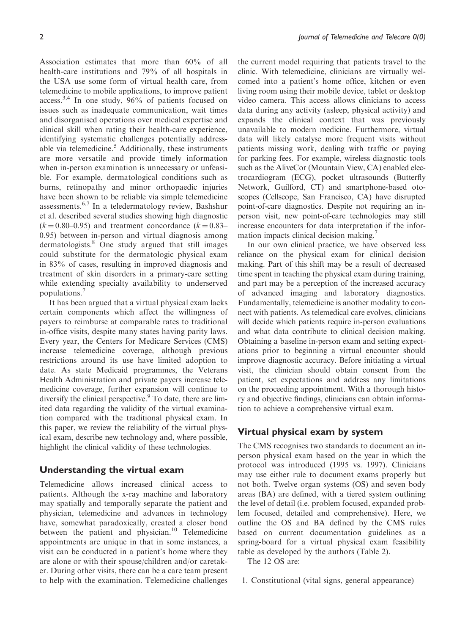Association estimates that more than 60% of all health-care institutions and 79% of all hospitals in the USA use some form of virtual health care, from telemedicine to mobile applications, to improve patient access.3,4 In one study, 96% of patients focused on issues such as inadequate communication, wait times and disorganised operations over medical expertise and clinical skill when rating their health-care experience, identifying systematic challenges potentially addressable via telemedicine.<sup>5</sup> Additionally, these instruments are more versatile and provide timely information when in-person examination is unnecessary or unfeasible. For example, dermatological conditions such as burns, retinopathy and minor orthopaedic injuries have been shown to be reliable via simple telemedicine assessments.6,7 In a teledermatology review, Bashshur et al. described several studies showing high diagnostic  $(k = 0.80 - 0.95)$  and treatment concordance  $(k = 0.83 - 0.85)$ 0.95) between in-person and virtual diagnosis among dermatologists.<sup>8</sup> One study argued that still images could substitute for the dermatologic physical exam in 83% of cases, resulting in improved diagnosis and treatment of skin disorders in a primary-care setting while extending specialty availability to underserved populations.7

It has been argued that a virtual physical exam lacks certain components which affect the willingness of payers to reimburse at comparable rates to traditional in-office visits, despite many states having parity laws. Every year, the Centers for Medicare Services (CMS) increase telemedicine coverage, although previous restrictions around its use have limited adoption to date. As state Medicaid programmes, the Veterans Health Administration and private payers increase telemedicine coverage, further expansion will continue to diversify the clinical perspective. $9$  To date, there are limited data regarding the validity of the virtual examination compared with the traditional physical exam. In this paper, we review the reliability of the virtual physical exam, describe new technology and, where possible, highlight the clinical validity of these technologies.

#### Understanding the virtual exam

Telemedicine allows increased clinical access to patients. Although the x-ray machine and laboratory may spatially and temporally separate the patient and physician, telemedicine and advances in technology have, somewhat paradoxically, created a closer bond between the patient and physician. $10$  Telemedicine appointments are unique in that in some instances, a visit can be conducted in a patient's home where they are alone or with their spouse/children and/or caretaker. During other visits, there can be a care team present to help with the examination. Telemedicine challenges

the current model requiring that patients travel to the clinic. With telemedicine, clinicians are virtually welcomed into a patient's home office, kitchen or even living room using their mobile device, tablet or desktop video camera. This access allows clinicians to access data during any activity (asleep, physical activity) and expands the clinical context that was previously unavailable to modern medicine. Furthermore, virtual data will likely catalyse more frequent visits without patients missing work, dealing with traffic or paying for parking fees. For example, wireless diagnostic tools such as the AliveCor (Mountain View, CA) enabled electrocardiogram (ECG), pocket ultrasounds (Butterfly Network, Guilford, CT) and smartphone-based otoscopes (Cellscope, San Francisco, CA) have disrupted point-of-care diagnostics. Despite not requiring an inperson visit, new point-of-care technologies may still increase encounters for data interpretation if the information impacts clinical decision making.<sup>7</sup>

In our own clinical practice, we have observed less reliance on the physical exam for clinical decision making. Part of this shift may be a result of decreased time spent in teaching the physical exam during training, and part may be a perception of the increased accuracy of advanced imaging and laboratory diagnostics. Fundamentally, telemedicine is another modality to connect with patients. As telemedical care evolves, clinicians will decide which patients require in-person evaluations and what data contribute to clinical decision making. Obtaining a baseline in-person exam and setting expectations prior to beginning a virtual encounter should improve diagnostic accuracy. Before initiating a virtual visit, the clinician should obtain consent from the patient, set expectations and address any limitations on the proceeding appointment. With a thorough history and objective findings, clinicians can obtain information to achieve a comprehensive virtual exam.

## Virtual physical exam by system

The CMS recognises two standards to document an inperson physical exam based on the year in which the protocol was introduced (1995 vs. 1997). Clinicians may use either rule to document exams properly but not both. Twelve organ systems (OS) and seven body areas (BA) are defined, with a tiered system outlining the level of detail (i.e. problem focused, expanded problem focused, detailed and comprehensive). Here, we outline the OS and BA defined by the CMS rules based on current documentation guidelines as a spring-board for a virtual physical exam feasibility table as developed by the authors (Table 2).

The 12 OS are:

1. Constitutional (vital signs, general appearance)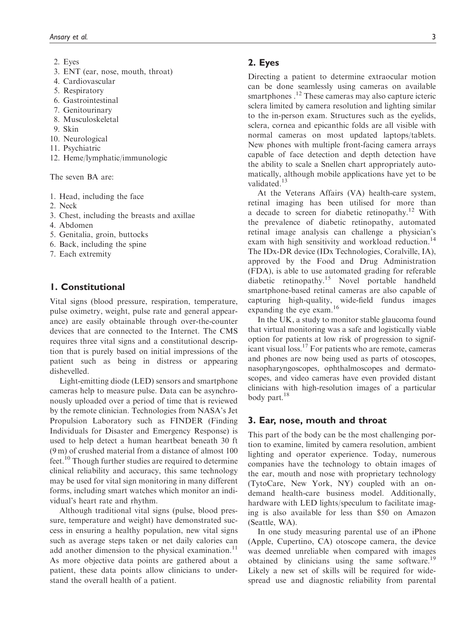- 2. Eyes
- 3. ENT (ear, nose, mouth, throat)
- 4. Cardiovascular
- 5. Respiratory
- 6. Gastrointestinal
- 7. Genitourinary
- 8. Musculoskeletal
- 9. Skin
- 10. Neurological
- 11. Psychiatric
- 12. Heme/lymphatic/immunologic

The seven BA are:

- 1. Head, including the face
- 2. Neck
- 3. Chest, including the breasts and axillae
- 4. Abdomen
- 5. Genitalia, groin, buttocks
- 6. Back, including the spine
- 7. Each extremity

## 1. Constitutional

Vital signs (blood pressure, respiration, temperature, pulse oximetry, weight, pulse rate and general appearance) are easily obtainable through over-the-counter devices that are connected to the Internet. The CMS requires three vital signs and a constitutional description that is purely based on initial impressions of the patient such as being in distress or appearing dishevelled.

Light-emitting diode (LED) sensors and smartphone cameras help to measure pulse. Data can be asynchronously uploaded over a period of time that is reviewed by the remote clinician. Technologies from NASA's Jet Propulsion Laboratory such as FINDER (Finding Individuals for Disaster and Emergency Response) is used to help detect a human heartbeat beneath 30 ft (9 m) of crushed material from a distance of almost 100 feet.<sup>10</sup> Though further studies are required to determine clinical reliability and accuracy, this same technology may be used for vital sign monitoring in many different forms, including smart watches which monitor an individual's heart rate and rhythm.

Although traditional vital signs (pulse, blood pressure, temperature and weight) have demonstrated success in ensuring a healthy population, new vital signs such as average steps taken or net daily calories can add another dimension to the physical examination.<sup>11</sup> As more objective data points are gathered about a patient, these data points allow clinicians to understand the overall health of a patient.

## 2. Eyes

Directing a patient to determine extraocular motion can be done seamlessly using cameras on available smartphones .<sup>12</sup> These cameras may also capture icteric sclera limited by camera resolution and lighting similar to the in-person exam. Structures such as the eyelids, sclera, cornea and epicanthic folds are all visible with normal cameras on most updated laptops/tablets. New phones with multiple front-facing camera arrays capable of face detection and depth detection have the ability to scale a Snellen chart appropriately automatically, although mobile applications have yet to be validated.<sup>13</sup>

At the Veterans Affairs (VA) health-care system, retinal imaging has been utilised for more than a decade to screen for diabetic retinopathy.<sup>12</sup> With the prevalence of diabetic retinopathy, automated retinal image analysis can challenge a physician's exam with high sensitivity and workload reduction.<sup>14</sup> The IDx-DR device (IDx Technologies, Coralville, IA), approved by the Food and Drug Administration (FDA), is able to use automated grading for referable diabetic retinopathy.<sup>15</sup> Novel portable handheld smartphone-based retinal cameras are also capable of capturing high-quality, wide-field fundus images expanding the eye exam.<sup>16</sup>

In the UK, a study to monitor stable glaucoma found that virtual monitoring was a safe and logistically viable option for patients at low risk of progression to significant visual loss.17 For patients who are remote, cameras and phones are now being used as parts of otoscopes, nasopharyngoscopes, ophthalmoscopes and dermatoscopes, and video cameras have even provided distant clinicians with high-resolution images of a particular body part.<sup>18</sup>

#### 3. Ear, nose, mouth and throat

This part of the body can be the most challenging portion to examine, limited by camera resolution, ambient lighting and operator experience. Today, numerous companies have the technology to obtain images of the ear, mouth and nose with proprietary technology (TytoCare, New York, NY) coupled with an ondemand health-care business model. Additionally, hardware with LED lights/speculum to facilitate imaging is also available for less than \$50 on Amazon (Seattle, WA).

In one study measuring parental use of an iPhone (Apple, Cupertino, CA) otoscope camera, the device was deemed unreliable when compared with images obtained by clinicians using the same software.<sup>19</sup> Likely a new set of skills will be required for widespread use and diagnostic reliability from parental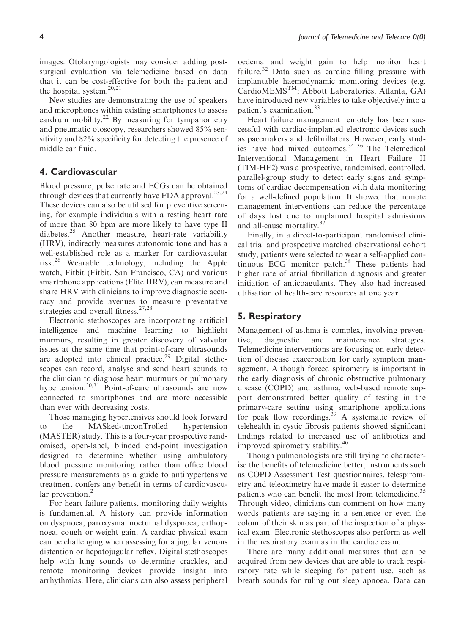images. Otolaryngologists may consider adding postsurgical evaluation via telemedicine based on data that it can be cost-effective for both the patient and the hospital system.<sup>20,21</sup>

New studies are demonstrating the use of speakers and microphones within existing smartphones to assess eardrum mobility.<sup>22</sup> By measuring for tympanometry and pneumatic otoscopy, researchers showed 85% sensitivity and 82% specificity for detecting the presence of middle ear fluid.

# 4. Cardiovascular

Blood pressure, pulse rate and ECGs can be obtained through devices that currently have FDA approval.<sup>23,24</sup> These devices can also be utilised for preventive screening, for example individuals with a resting heart rate of more than 80 bpm are more likely to have type II diabetes.<sup>25</sup> Another measure, heart-rate variability (HRV), indirectly measures autonomic tone and has a well-established role as a marker for cardiovascular risk.<sup>26</sup> Wearable technology, including the Apple watch, Fitbit (Fitbit, San Francisco, CA) and various smartphone applications (Elite HRV), can measure and share HRV with clinicians to improve diagnostic accuracy and provide avenues to measure preventative strategies and overall fitness.<sup>27,28</sup>

Electronic stethoscopes are incorporating artificial intelligence and machine learning to highlight murmurs, resulting in greater discovery of valvular issues at the same time that point-of-care ultrasounds are adopted into clinical practice.<sup>29</sup> Digital stethoscopes can record, analyse and send heart sounds to the clinician to diagnose heart murmurs or pulmonary hypertension.<sup>30,31</sup> Point-of-care ultrasounds are now connected to smartphones and are more accessible than ever with decreasing costs.

Those managing hypertensives should look forward to the MASked-unconTrolled hypertension (MASTER) study. This is a four-year prospective randomised, open-label, blinded end-point investigation designed to determine whether using ambulatory blood pressure monitoring rather than office blood pressure measurements as a guide to antihypertensive treatment confers any benefit in terms of cardiovascular prevention. $<sup>2</sup>$ </sup>

For heart failure patients, monitoring daily weights is fundamental. A history can provide information on dyspnoea, paroxysmal nocturnal dyspnoea, orthopnoea, cough or weight gain. A cardiac physical exam can be challenging when assessing for a jugular venous distention or hepatojugular reflex. Digital stethoscopes help with lung sounds to determine crackles, and remote monitoring devices provide insight into arrhythmias. Here, clinicians can also assess peripheral

oedema and weight gain to help monitor heart failure.<sup>32</sup> Data such as cardiac filling pressure with implantable haemodynamic monitoring devices (e.g. CardioMEMSTM; Abbott Laboratories, Atlanta, GA) have introduced new variables to take objectively into a patient's examination.<sup>33</sup>

Heart failure management remotely has been successful with cardiac-implanted electronic devices such as pacemakers and defibrillators. However, early studies have had mixed outcomes.34–36 The Telemedical Interventional Management in Heart Failure II (TIM-HF2) was a prospective, randomised, controlled, parallel-group study to detect early signs and symptoms of cardiac decompensation with data monitoring for a well-defined population. It showed that remote management interventions can reduce the percentage of days lost due to unplanned hospital admissions and all-cause mortality.<sup>37</sup>

Finally, in a direct-to-participant randomised clinical trial and prospective matched observational cohort study, patients were selected to wear a self-applied continuous ECG monitor patch.<sup>38</sup> These patients had higher rate of atrial fibrillation diagnosis and greater initiation of anticoagulants. They also had increased utilisation of health-care resources at one year.

# 5. Respiratory

Management of asthma is complex, involving preventive, diagnostic and maintenance strategies. Telemedicine interventions are focusing on early detection of disease exacerbation for early symptom management. Although forced spirometry is important in the early diagnosis of chronic obstructive pulmonary disease (COPD) and asthma, web-based remote support demonstrated better quality of testing in the primary-care setting using smartphone applications for peak flow recordings.<sup>39</sup> A systematic review of telehealth in cystic fibrosis patients showed significant findings related to increased use of antibiotics and improved spirometry stability.<sup>40</sup>

Though pulmonologists are still trying to characterise the benefits of telemedicine better, instruments such as COPD Assessment Test questionnaires, telespirometry and teleoximetry have made it easier to determine patients who can benefit the most from telemedicine.<sup>35</sup> Through video, clinicians can comment on how many words patients are saying in a sentence or even the colour of their skin as part of the inspection of a physical exam. Electronic stethoscopes also perform as well in the respiratory exam as in the cardiac exam.

There are many additional measures that can be acquired from new devices that are able to track respiratory rate while sleeping for patient use, such as breath sounds for ruling out sleep apnoea. Data can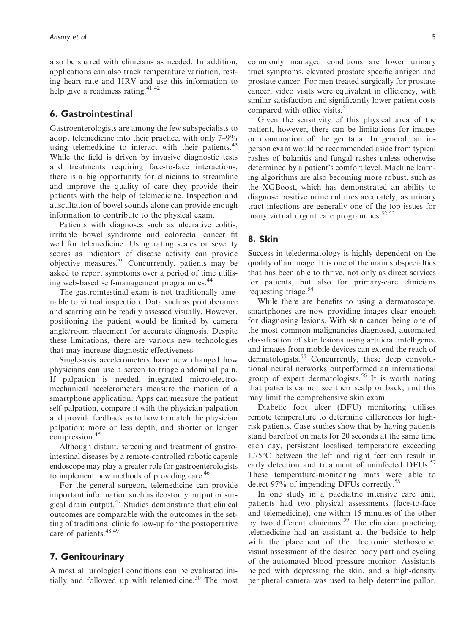also be shared with clinicians as needed. In addition, applications can also track temperature variation, resting heart rate and HRV and use this information to help give a readiness rating. $41,42$ 

## 6. Gastrointestinal

Gastroenterologists are among the few subspecialists to adopt telemedicine into their practice, with only 7–9% using telemedicine to interact with their patients.<sup>43</sup> While the field is driven by invasive diagnostic tests and treatments requiring face-to-face interactions, there is a big opportunity for clinicians to streamline and improve the quality of care they provide their patients with the help of telemedicine. Inspection and auscultation of bowel sounds alone can provide enough information to contribute to the physical exam.

Patients with diagnoses such as ulcerative colitis, irritable bowel syndrome and colorectal cancer fit well for telemedicine. Using rating scales or severity scores as indicators of disease activity can provide objective measures.<sup>39</sup> Concurrently, patients may be asked to report symptoms over a period of time utilising web-based self-management programmes.<sup>44</sup>

The gastrointestinal exam is not traditionally amenable to virtual inspection. Data such as protuberance and scarring can be readily assessed visually. However, positioning the patient would be limited by camera angle/room placement for accurate diagnosis. Despite these limitations, there are various new technologies that may increase diagnostic effectiveness.

Single-axis accelerometers have now changed how physicians can use a screen to triage abdominal pain. If palpation is needed, integrated micro-electromechanical accelerometers measure the motion of a smartphone application. Apps can measure the patient self-palpation, compare it with the physician palpation and provide feedback as to how to match the physician palpation: more or less depth, and shorter or longer compression.<sup>45</sup>

Although distant, screening and treatment of gastrointestinal diseases by a remote-controlled robotic capsule endoscope may play a greater role for gastroenterologists to implement new methods of providing care.<sup>46</sup>

For the general surgeon, telemedicine can provide important information such as ileostomy output or surgical drain output.<sup>47</sup> Studies demonstrate that clinical outcomes are comparable with the outcomes in the setting of traditional clinic follow-up for the postoperative care of patients.<sup>48,49</sup>

# 7. Genitourinary

Almost all urological conditions can be evaluated initially and followed up with telemedicine. $50$  The most

commonly managed conditions are lower urinary tract symptoms, elevated prostate specific antigen and prostate cancer. For men treated surgically for prostate cancer, video visits were equivalent in efficiency, with similar satisfaction and significantly lower patient costs compared with office visits. $51$ 

Given the sensitivity of this physical area of the patient, however, there can be limitations for images or examination of the genitalia. In general, an inperson exam would be recommended aside from typical rashes of balanitis and fungal rashes unless otherwise determined by a patient's comfort level. Machine learning algorithms are also becoming more robust, such as the XGBoost, which has demonstrated an ability to diagnose positive urine cultures accurately, as urinary tract infections are generally one of the top issues for many virtual urgent care programmes.<sup>52,53</sup>

#### 8. Skin

Success in teledermatology is highly dependent on the quality of an image. It is one of the main subspecialties that has been able to thrive, not only as direct services for patients, but also for primary-care clinicians requesting triage.<sup>54</sup>

While there are benefits to using a dermatoscope, smartphones are now providing images clear enough for diagnosing lesions. With skin cancer being one of the most common malignancies diagnosed, automated classification of skin lesions using artificial intelligence and images from mobile devices can extend the reach of dermatologists.<sup>55</sup> Concurrently, these deep convolutional neural networks outperformed an international group of expert dermatologists.<sup>56</sup> It is worth noting that patients cannot see their scalp or back, and this may limit the comprehensive skin exam.

Diabetic foot ulcer (DFU) monitoring utilises remote temperature to determine differences for highrisk patients. Case studies show that by having patients stand barefoot on mats for 20 seconds at the same time each day, persistent localised temperature exceeding  $1.75^{\circ}$ C between the left and right feet can result in early detection and treatment of uninfected DFUs.<sup>57</sup> These temperature-monitoring mats were able to detect 97% of impending DFUs correctly.<sup>58</sup>

In one study in a paediatric intensive care unit, patients had two physical assessments (face-to-face and telemedicine), one within 15 minutes of the other by two different clinicians.<sup>59</sup> The clinician practicing telemedicine had an assistant at the bedside to help with the placement of the electronic stethoscope, visual assessment of the desired body part and cycling of the automated blood pressure monitor. Assistants helped with depressing the skin, and a high-density peripheral camera was used to help determine pallor,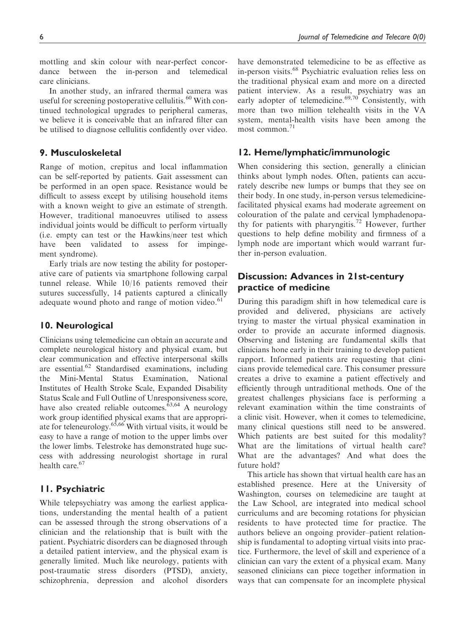mottling and skin colour with near-perfect concordance between the in-person and telemedical care clinicians.

In another study, an infrared thermal camera was useful for screening postoperative cellulitis.<sup>60</sup> With continued technological upgrades to peripheral cameras, we believe it is conceivable that an infrared filter can be utilised to diagnose cellulitis confidently over video.

# 9. Musculoskeletal

Range of motion, crepitus and local inflammation can be self-reported by patients. Gait assessment can be performed in an open space. Resistance would be difficult to assess except by utilising household items with a known weight to give an estimate of strength. However, traditional manoeuvres utilised to assess individual joints would be difficult to perform virtually (i.e. empty can test or the Hawkins/neer test which have been validated to assess for impingement syndrome).

Early trials are now testing the ability for postoperative care of patients via smartphone following carpal tunnel release. While 10/16 patients removed their sutures successfully, 14 patients captured a clinically adequate wound photo and range of motion video.<sup>61</sup>

## 10. Neurological

Clinicians using telemedicine can obtain an accurate and complete neurological history and physical exam, but clear communication and effective interpersonal skills are essential. $62$  Standardised examinations, including the Mini-Mental Status Examination, National Institutes of Health Stroke Scale, Expanded Disability Status Scale and Full Outline of Unresponsiveness score, have also created reliable outcomes.<sup> $\bar{6}^{3,64}$ </sup> A neurology work group identified physical exams that are appropriate for teleneurology.<sup>65,66</sup> With virtual visits, it would be easy to have a range of motion to the upper limbs over the lower limbs. Telestroke has demonstrated huge success with addressing neurologist shortage in rural health care.<sup>67</sup>

## 11. Psychiatric

While telepsychiatry was among the earliest applications, understanding the mental health of a patient can be assessed through the strong observations of a clinician and the relationship that is built with the patient. Psychiatric disorders can be diagnosed through a detailed patient interview, and the physical exam is generally limited. Much like neurology, patients with post-traumatic stress disorders (PTSD), anxiety, schizophrenia, depression and alcohol disorders

have demonstrated telemedicine to be as effective as in-person visits.<sup>68</sup> Psychiatric evaluation relies less on the traditional physical exam and more on a directed patient interview. As a result, psychiatry was an early adopter of telemedicine. $69,70$  Consistently, with more than two million telehealth visits in the VA system, mental-health visits have been among the most common.<sup>71</sup>

## 12. Heme/lymphatic/immunologic

When considering this section, generally a clinician thinks about lymph nodes. Often, patients can accurately describe new lumps or bumps that they see on their body. In one study, in-person versus telemedicinefacilitated physical exams had moderate agreement on colouration of the palate and cervical lymphadenopathy for patients with pharyngitis.<sup>72</sup> However, further questions to help define mobility and firmness of a lymph node are important which would warrant further in-person evaluation.

# Discussion: Advances in 21st-century practice of medicine

During this paradigm shift in how telemedical care is provided and delivered, physicians are actively trying to master the virtual physical examination in order to provide an accurate informed diagnosis. Observing and listening are fundamental skills that clinicians hone early in their training to develop patient rapport. Informed patients are requesting that clinicians provide telemedical care. This consumer pressure creates a drive to examine a patient effectively and efficiently through untraditional methods. One of the greatest challenges physicians face is performing a relevant examination within the time constraints of a clinic visit. However, when it comes to telemedicine, many clinical questions still need to be answered. Which patients are best suited for this modality? What are the limitations of virtual health care? What are the advantages? And what does the future hold?

This article has shown that virtual health care has an established presence. Here at the University of Washington, courses on telemedicine are taught at the Law School, are integrated into medical school curriculums and are becoming rotations for physician residents to have protected time for practice. The authors believe an ongoing provider–patient relationship is fundamental to adopting virtual visits into practice. Furthermore, the level of skill and experience of a clinician can vary the extent of a physical exam. Many seasoned clinicians can piece together information in ways that can compensate for an incomplete physical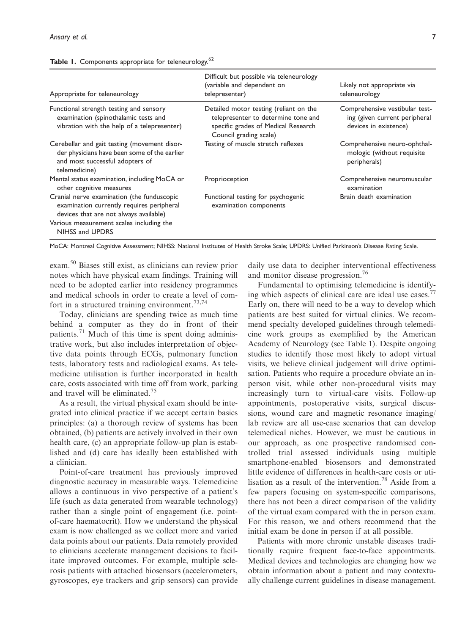|  | Table 1. Components appropriate for teleneurology. <sup>62</sup> |  |  |  |  |
|--|------------------------------------------------------------------|--|--|--|--|
|--|------------------------------------------------------------------|--|--|--|--|

| Appropriate for teleneurology                                                                                                                    | Difficult but possible via teleneurology<br>(variable and dependent on<br>telepresenter)                                                       | Likely not appropriate via<br>teleneurology                                              |
|--------------------------------------------------------------------------------------------------------------------------------------------------|------------------------------------------------------------------------------------------------------------------------------------------------|------------------------------------------------------------------------------------------|
| Functional strength testing and sensory<br>examination (spinothalamic tests and<br>vibration with the help of a telepresenter)                   | Detailed motor testing (reliant on the<br>telepresenter to determine tone and<br>specific grades of Medical Research<br>Council grading scale) | Comprehensive vestibular test-<br>ing (given current peripheral<br>devices in existence) |
| Cerebellar and gait testing (movement disor-<br>der physicians have been some of the earlier<br>and most successful adopters of<br>telemedicine) | Testing of muscle stretch reflexes                                                                                                             | Comprehensive neuro-ophthal-<br>mologic (without requisite<br>peripherals)               |
| Mental status examination, including MoCA or<br>other cognitive measures                                                                         | Proprioception                                                                                                                                 | Comprehensive neuromuscular<br>examination                                               |
| Cranial nerve examination (the funduscopic<br>examination currently requires peripheral<br>devices that are not always available)                | Functional testing for psychogenic<br>examination components                                                                                   | Brain death examination                                                                  |
| Various measurement scales including the<br>NIHSS and UPDRS                                                                                      |                                                                                                                                                |                                                                                          |

MoCA: Montreal Cognitive Assessment; NIHSS: National Institutes of Health Stroke Scale; UPDRS: Unified Parkinson's Disease Rating Scale.

exam.<sup>50</sup> Biases still exist, as clinicians can review prior notes which have physical exam findings. Training will need to be adopted earlier into residency programmes and medical schools in order to create a level of comfort in a structured training environment.<sup>73,74</sup>

Today, clinicians are spending twice as much time behind a computer as they do in front of their patients.<sup>71</sup> Much of this time is spent doing administrative work, but also includes interpretation of objective data points through ECGs, pulmonary function tests, laboratory tests and radiological exams. As telemedicine utilisation is further incorporated in health care, costs associated with time off from work, parking and travel will be eliminated.<sup>75</sup>

As a result, the virtual physical exam should be integrated into clinical practice if we accept certain basics principles: (a) a thorough review of systems has been obtained, (b) patients are actively involved in their own health care, (c) an appropriate follow-up plan is established and (d) care has ideally been established with a clinician.

Point-of-care treatment has previously improved diagnostic accuracy in measurable ways. Telemedicine allows a continuous in vivo perspective of a patient's life (such as data generated from wearable technology) rather than a single point of engagement (i.e. pointof-care haematocrit). How we understand the physical exam is now challenged as we collect more and varied data points about our patients. Data remotely provided to clinicians accelerate management decisions to facilitate improved outcomes. For example, multiple sclerosis patients with attached biosensors (accelerometers, gyroscopes, eye trackers and grip sensors) can provide daily use data to decipher interventional effectiveness and monitor disease progression.76

Fundamental to optimising telemedicine is identifying which aspects of clinical care are ideal use cases.<sup>77</sup> Early on, there will need to be a way to develop which patients are best suited for virtual clinics. We recommend specialty developed guidelines through telemedicine work groups as exemplified by the American Academy of Neurology (see Table 1). Despite ongoing studies to identify those most likely to adopt virtual visits, we believe clinical judgement will drive optimisation. Patients who require a procedure obviate an inperson visit, while other non-procedural visits may increasingly turn to virtual-care visits. Follow-up appointments, postoperative visits, surgical discussions, wound care and magnetic resonance imaging/ lab review are all use-case scenarios that can develop telemedical niches. However, we must be cautious in our approach, as one prospective randomised controlled trial assessed individuals using multiple smartphone-enabled biosensors and demonstrated little evidence of differences in health-care costs or utilisation as a result of the intervention.<sup>78</sup> Aside from a few papers focusing on system-specific comparisons, there has not been a direct comparison of the validity of the virtual exam compared with the in person exam. For this reason, we and others recommend that the initial exam be done in person if at all possible.

Patients with more chronic unstable diseases traditionally require frequent face-to-face appointments. Medical devices and technologies are changing how we obtain information about a patient and may contextually challenge current guidelines in disease management.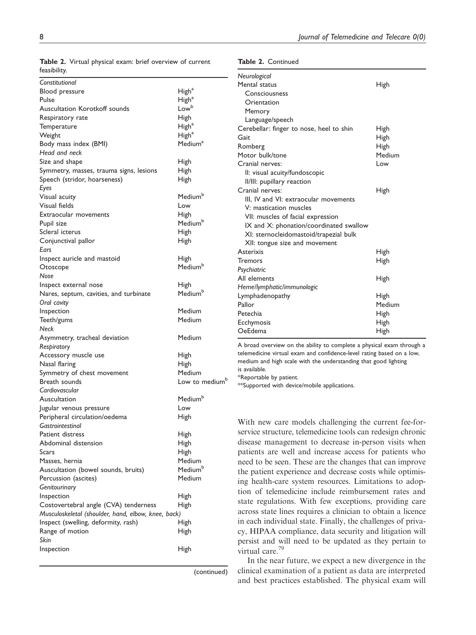| feasibility.                                        |                            | Neurological                                                          |        |  |
|-----------------------------------------------------|----------------------------|-----------------------------------------------------------------------|--------|--|
| Constitutional                                      |                            | Mental status                                                         | High   |  |
| Blood pressure                                      | High <sup>a</sup>          | Consciousness                                                         |        |  |
| Pulse                                               | High <sup>a</sup>          | Orientation                                                           |        |  |
| Auscultation Korotkoff sounds                       | Low <sup>b</sup>           | Memory                                                                |        |  |
| Respiratory rate                                    | High                       | Language/speech                                                       |        |  |
| Temperature                                         | High <sup>a</sup>          | Cerebellar: finger to nose, heel to shin                              | High   |  |
| Weight                                              | High <sup>a</sup>          | Gait                                                                  | High   |  |
| Body mass index (BMI)                               | Medium <sup>a</sup>        | Romberg                                                               | High   |  |
| Head and neck                                       |                            | Motor bulk/tone                                                       | Medium |  |
| Size and shape                                      | High                       | Cranial nerves:                                                       |        |  |
| Symmetry, masses, trauma signs, lesions             | High                       |                                                                       | Low    |  |
| Speech (stridor, hoarseness)                        | High                       | II: visual acuity/fundoscopic                                         |        |  |
| Eyes                                                |                            | II/III: pupillary reaction                                            |        |  |
| Visual acuity                                       | Medium <sup>b</sup>        | Cranial nerves:                                                       | High   |  |
| Visual fields                                       | Low                        | III, IV and VI: extraocular movements                                 |        |  |
| Extraocular movements                               | High                       | V: mastication muscles                                                |        |  |
| Pupil size                                          | Medium <sup>b</sup>        | VII: muscles of facial expression                                     |        |  |
|                                                     |                            | IX and X: phonation/coordinated swallow                               |        |  |
| Scleral icterus                                     | High                       | XI: sternocleidomastoid/trapezial bulk                                |        |  |
| Conjunctival pallor                                 | High                       | XII: tongue size and movement                                         |        |  |
| Ears                                                |                            | Asterixis                                                             | High   |  |
| Inspect auricle and mastoid                         | <b>High</b>                | Tremors                                                               | High   |  |
| Otoscope                                            | Medium <sup>b</sup>        | Psychiatric                                                           |        |  |
| Nose                                                |                            | All elements                                                          | High   |  |
| Inspect external nose                               | High                       | Heme/lymphatic/immunologic                                            |        |  |
| Nares, septum, cavities, and turbinate              | Medium <sup>b</sup>        | Lymphadenopathy                                                       | High   |  |
| Oral cavity                                         |                            | Pallor                                                                | Medium |  |
| Inspection                                          | Medium                     | Petechia                                                              | High   |  |
| Teeth/gums                                          | Medium                     | Ecchymosis                                                            | High   |  |
| Neck                                                |                            | OeEdema                                                               | High   |  |
| Asymmetry, tracheal deviation                       | Medium                     |                                                                       |        |  |
| Respiratory                                         |                            | A broad overview on the ability to complete a physical exam through a |        |  |
| Accessory muscle use                                | <b>High</b>                | telemedicine virtual exam and confidence-level rating based on a low, |        |  |
| Nasal flaring                                       | High                       | medium and high scale with the understanding that good lighting       |        |  |
| Symmetry of chest movement                          | Medium                     | is available.                                                         |        |  |
| Breath sounds                                       | Low to medium <sup>o</sup> | *Reportable by patient.                                               |        |  |
| Cardiovascular                                      |                            | **Supported with device/mobile applications.                          |        |  |
| Auscultation                                        | Medium <sup>b</sup>        |                                                                       |        |  |
| Jugular venous pressure                             | Low                        |                                                                       |        |  |
| Peripheral circulation/oedema                       | High                       |                                                                       |        |  |
| Gastrointestinal                                    |                            | With new care models challenging the current fee-for-                 |        |  |
| Patient distress                                    | High                       | service structure, telemedicine tools can redesign chronic            |        |  |
| Abdominal distension                                | High                       | disease management to decrease in-person visits when                  |        |  |
| Scars                                               | High                       | patients are well and increase access for patients who                |        |  |
| Masses, hernia                                      | Medium                     |                                                                       |        |  |
| Auscultation (bowel sounds, bruits)                 | Medium <sup>b</sup>        | need to be seen. These are the changes that can improve               |        |  |
|                                                     | Medium                     | the patient experience and decrease costs while optimis-              |        |  |
| Percussion (ascites)                                |                            | ing health-care system resources. Limitations to adop-                |        |  |
| Genitourinary                                       |                            | tion of telemedicine include reimbursement rates and                  |        |  |
| Inspection                                          | High                       | state regulations. With few exceptions, providing care                |        |  |
| Costovertebral angle (CVA) tenderness               | High                       | across state lines requires a clinician to obtain a licence           |        |  |
| Musculoskeletal (shoulder, hand, elbow, knee, back) |                            |                                                                       |        |  |
| Inspect (swelling, deformity, rash)                 | High                       | in each individual state. Finally, the challenges of priva-           |        |  |
| Range of motion                                     | High                       | cy, HIPAA compliance, data security and litigation will               |        |  |
| Skin                                                |                            | persist and will need to be updated as they pertain to                |        |  |
| Inspection                                          | High                       | virtual care. <sup>79</sup>                                           |        |  |
|                                                     |                            | In the near future, we expect a new divergence in the                 |        |  |

Table 2. Virtual physical exam: brief overview of current feasibility.

Table 2. Continued

(continued)

In the near future, we expect a new divergence in the clinical examination of a patient as data are interpreted and best practices established. The physical exam will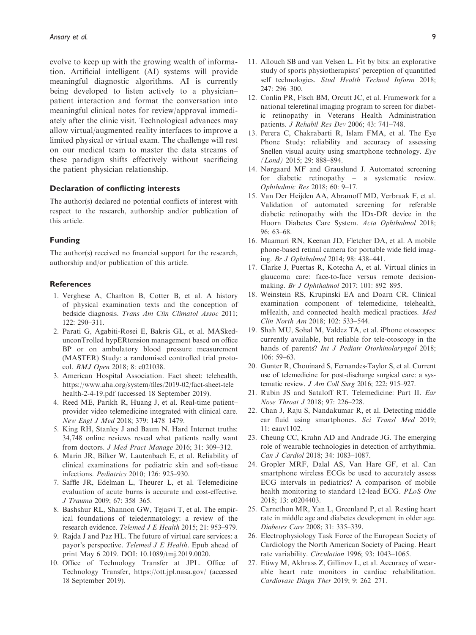evolve to keep up with the growing wealth of information. Artificial intelligent (AI) systems will provide meaningful diagnostic algorithms. AI is currently being developed to listen actively to a physician– patient interaction and format the conversation into meaningful clinical notes for review/approval immediately after the clinic visit. Technological advances may allow virtual/augmented reality interfaces to improve a limited physical or virtual exam. The challenge will rest on our medical team to master the data streams of these paradigm shifts effectively without sacrificing the patient–physician relationship.

#### Declaration of conflicting interests

The author(s) declared no potential conflicts of interest with respect to the research, authorship and/or publication of this article.

#### Funding

The author(s) received no financial support for the research, authorship and/or publication of this article.

#### **References**

- 1. Verghese A, Charlton B, Cotter B, et al. A history of physical examination texts and the conception of bedside diagnosis. Trans Am Clin Climatol Assoc 2011; 122: 290–311.
- 2. Parati G, Agabiti-Rosei E, Bakris GL, et al. MASkedunconTrolled hypERtension management based on office BP or on ambulatory blood pressure measurement (MASTER) Study: a randomised controlled trial protocol. BMJ Open 2018; 8: e021038.
- 3. American Hospital Association. Fact sheet: telehealth, [https://www.aha.org/system/files/2019-02/fact-sheet-tele](https://www.aha.org/system/files/2019-02/fact-sheet-telehealth-2-4-19.pdf) [health-2-4-19.pdf](https://www.aha.org/system/files/2019-02/fact-sheet-telehealth-2-4-19.pdf) (accessed 18 September 2019).
- 4. Reed ME, Parikh R, Huang J, et al. Real-time patient– provider video telemedicine integrated with clinical care. New Engl J Med 2018; 379: 1478–1479.
- 5. King RH, Stanley J and Baum N. Hard Internet truths: 34,748 online reviews reveal what patients really want from doctors. J Med Pract Manage 2016; 31: 309–312.
- 6. Marin JR, Bilker W, Lautenbach E, et al. Reliability of clinical examinations for pediatric skin and soft-tissue infections. Pediatrics 2010; 126: 925–930.
- 7. Saffle JR, Edelman L, Theurer L, et al. Telemedicine evaluation of acute burns is accurate and cost-effective. J Trauma 2009; 67: 358–365.
- 8. Bashshur RL, Shannon GW, Tejasvi T, et al. The empirical foundations of teledermatology: a review of the research evidence. Telemed J E Health 2015; 21: 953–979.
- 9. Rajda J and Paz HL. The future of virtual care services: a payor's perspective. Telemed J E Health. Epub ahead of print May 6 2019. DOI: 10.1089/tmj.2019.0020.
- 10. Office of Technology Transfer at JPL. Office of Technology Transfer,<https://ott.jpl.nasa.gov/> (accessed 18 September 2019).
- 11. Allouch SB and van Velsen L. Fit by bits: an explorative study of sports physiotherapists' perception of quantified self technologies. Stud Health Technol Inform 2018; 247: 296–300.
- 12. Conlin PR, Fisch BM, Orcutt JC, et al. Framework for a national teleretinal imaging program to screen for diabetic retinopathy in Veterans Health Administration patients. J Rehabil Res Dev 2006; 43: 741–748.
- 13. Perera C, Chakrabarti R, Islam FMA, et al. The Eye Phone Study: reliability and accuracy of assessing Snellen visual acuity using smartphone technology. Eye (Lond) 2015; 29: 888–894.
- 14. Nørgaard MF and Grauslund J. Automated screening for diabetic retinopathy – a systematic review. Ophthalmic Res 2018; 60: 9–17.
- 15. Van Der Heijden AA, Abramoff MD, Verbraak F, et al. Validation of automated screening for referable diabetic retinopathy with the IDx-DR device in the Hoorn Diabetes Care System. Acta Ophthalmol 2018; 96: 63–68.
- 16. Maamari RN, Keenan JD, Fletcher DA, et al. A mobile phone-based retinal camera for portable wide field imaging. Br J Ophthalmol 2014; 98: 438–441.
- 17. Clarke J, Puertas R, Kotecha A, et al. Virtual clinics in glaucoma care: face-to-face versus remote decisionmaking. Br J Ophthalmol 2017; 101: 892–895.
- 18. Weinstein RS, Krupinski EA and Doarn CR. Clinical examination component of telemedicine, telehealth, mHealth, and connected health medical practices. Med Clin North Am 2018; 102: 533–544.
- 19. Shah MU, Sohal M, Valdez TA, et al. iPhone otoscopes: currently available, but reliable for tele-otoscopy in the hands of parents? Int J Pediatr Otorhinolaryngol 2018; 106: 59–63.
- 20. Gunter R, Chouinard S, Fernandes-Taylor S, et al. Current use of telemedicine for post-discharge surgical care: a systematic review. J Am Coll Surg 2016; 222: 915–927.
- 21. Rubin JS and Sataloff RT. Telemedicine: Part II. Ear Nose Throat J 2018; 97: 226–228.
- 22. Chan J, Raju S, Nandakumar R, et al. Detecting middle ear fluid using smartphones. Sci Transl Med 2019; 11: eaav1102.
- 23. Cheung CC, Krahn AD and Andrade JG. The emerging role of wearable technologies in detection of arrhythmia. Can J Cardiol 2018; 34: 1083–1087.
- 24. Gropler MRF, Dalal AS, Van Hare GF, et al. Can smartphone wireless ECGs be used to accurately assess ECG intervals in pediatrics? A comparison of mobile health monitoring to standard 12-lead ECG. PLoS One 2018; 13: e0204403.
- 25. Carnethon MR, Yan L, Greenland P, et al. Resting heart rate in middle age and diabetes development in older age. Diabetes Care 2008; 31: 335–339.
- 26. Electrophysiology Task Force of the European Society of Cardiology the North American Society of Pacing. Heart rate variability. Circulation 1996; 93: 1043–1065.
- 27. Etiwy M, Akhrass Z, Gillinov L, et al. Accuracy of wearable heart rate monitors in cardiac rehabilitation. Cardiovasc Diagn Ther 2019; 9: 262–271.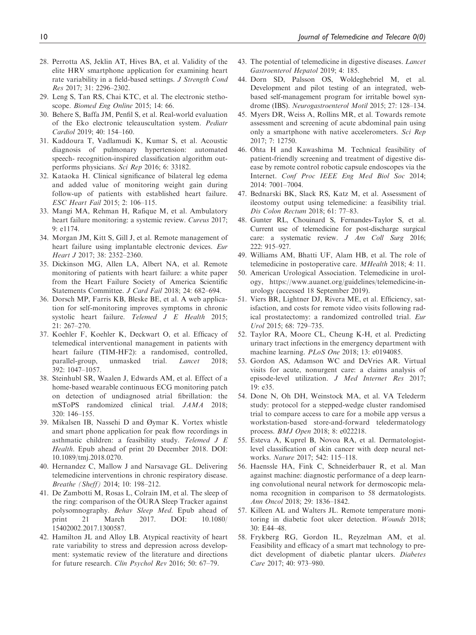- 28. Perrotta AS, Jeklin AT, Hives BA, et al. Validity of the elite HRV smartphone application for examining heart rate variability in a field-based settings. J Strength Cond Res 2017; 31: 2296–2302.
- 29. Leng S, Tan RS, Chai KTC, et al. The electronic stethoscope. Biomed Eng Online 2015; 14: 66.
- 30. Behere S, Baffa JM, Penfil S, et al. Real-world evaluation of the Eko electronic teleauscultation system. Pediatr Cardiol 2019; 40: 154–160.
- 31. Kaddoura T, Vadlamudi K, Kumar S, et al. Acoustic diagnosis of pulmonary hypertension: automated speech- recognition-inspired classification algorithm outperforms physicians. Sci Rep 2016; 6: 33182.
- 32. Kataoka H. Clinical significance of bilateral leg edema and added value of monitoring weight gain during follow-up of patients with established heart failure. ESC Heart Fail 2015; 2: 106–115.
- 33. Mangi MA, Rehman H, Rafique M, et al. Ambulatory heart failure monitoring: a systemic review. Cureus 2017; 9: e1174.
- 34. Morgan JM, Kitt S, Gill J, et al. Remote management of heart failure using implantable electronic devices. Eur Heart J 2017; 38: 2352–2360.
- 35. Dickinson MG, Allen LA, Albert NA, et al. Remote monitoring of patients with heart failure: a white paper from the Heart Failure Society of America Scientific Statements Committee. J Card Fail 2018; 24: 682–694.
- 36. Dorsch MP, Farris KB, Bleske BE, et al. A web application for self-monitoring improves symptoms in chronic systolic heart failure. Telemed J E Health 2015; 21: 267–270.
- 37. Koehler F, Koehler K, Deckwart O, et al. Efficacy of telemedical interventional management in patients with heart failure (TIM-HF2): a randomised, controlled, parallel-group, unmasked trial. *Lancet* 2018; 392: 1047–1057.
- 38. Steinhubl SR, Waalen J, Edwards AM, et al. Effect of a home-based wearable continuous ECG monitoring patch on detection of undiagnosed atrial fibrillation: the mSToPS randomized clinical trial. JAMA 2018; 320: 146–155.
- 39. Mikalsen IB, Nassehi D and Øymar K. Vortex whistle and smart phone application for peak flow recordings in asthmatic children: a feasibility study. Telemed J E Health. Epub ahead of print 20 December 2018. DOI: 10.1089/tmj.2018.0270.
- 40. Hernandez C, Mallow J and Narsavage GL. Delivering telemedicine interventions in chronic respiratory disease. Breathe (Sheff) 2014; 10: 198–212.
- 41. De Zambotti M, Rosas L, Colrain IM, et al. The sleep of the ring: comparison of the OURA Sleep Tracker against polysomnography. Behav Sleep Med. Epub ahead of print 21 March 2017. DOI: 10.1080/ 15402002.2017.1300587.
- 42. Hamilton JL and Alloy LB. Atypical reactivity of heart rate variability to stress and depression across development: systematic review of the literature and directions for future research. Clin Psychol Rev 2016; 50: 67–79.
- 43. The potential of telemedicine in digestive diseases. Lancet Gastroenterol Hepatol 2019; 4: 185.
- 44. Dorn SD, Palsson OS, Woldeghebriel M, et al. Development and pilot testing of an integrated, webbased self-management program for irritable bowel syndrome (IBS). Neurogastroenterol Motil 2015; 27: 128–134.
- 45. Myers DR, Weiss A, Rollins MR, et al. Towards remote assessment and screening of acute abdominal pain using only a smartphone with native accelerometers. Sci Rep 2017; 7: 12750.
- 46. Ohta H and Kawashima M. Technical feasibility of patient-friendly screening and treatment of digestive disease by remote control robotic capsule endoscopes via the Internet. Conf Proc IEEE Eng Med Biol Soc 2014; 2014: 7001–7004.
- 47. Bednarski BK, Slack RS, Katz M, et al. Assessment of ileostomy output using telemedicine: a feasibility trial. Dis Colon Rectum 2018; 61: 77–83.
- 48. Gunter RL, Chouinard S, Fernandes-Taylor S, et al. Current use of telemedicine for post-discharge surgical care: a systematic review. J Am Coll Surg 2016; 222: 915–927.
- 49. Williams AM, Bhatti UF, Alam HB, et al. The role of telemedicine in postoperative care. MHealth 2018; 4: 11.
- 50. American Urological Association. Telemedicine in urology, [https://www.auanet.org/guidelines/telemedicine-in](https://www.auanet.org/guidelines/telemedicine-in-urology)[urology](https://www.auanet.org/guidelines/telemedicine-in-urology) (accessed 18 September 2019).
- 51. Viers BR, Lightner DJ, Rivera ME, et al. Efficiency, satisfaction, and costs for remote video visits following radical prostatectomy: a randomized controlled trial. Eur Urol 2015; 68: 729–735.
- 52. Taylor RA, Moore CL, Cheung K-H, et al. Predicting urinary tract infections in the emergency department with machine learning. PLoS One 2018; 13: e0194085.
- 53. Gordon AS, Adamson WC and DeVries AR. Virtual visits for acute, nonurgent care: a claims analysis of episode-level utilization. J Med Internet Res 2017; 19: e35.
- 54. Done N, Oh DH, Weinstock MA, et al. VA Telederm study: protocol for a stepped-wedge cluster randomised trial to compare access to care for a mobile app versus a workstation-based store-and-forward teledermatology process. BMJ Open 2018; 8: e022218.
- 55. Esteva A, Kuprel B, Novoa RA, et al. Dermatologistlevel classification of skin cancer with deep neural networks. Nature 2017; 542: 115–118.
- 56. Haenssle HA, Fink C, Schneiderbauer R, et al. Man against machine: diagnostic performance of a deep learning convolutional neural network for dermoscopic melanoma recognition in comparison to 58 dermatologists. Ann Oncol 2018; 29: 1836–1842.
- 57. Killeen AL and Walters JL. Remote temperature monitoring in diabetic foot ulcer detection. Wounds 2018; 30: E44–48.
- 58. Frykberg RG, Gordon IL, Reyzelman AM, et al. Feasibility and efficacy of a smart mat technology to predict development of diabetic plantar ulcers. Diabetes Care 2017; 40: 973–980.